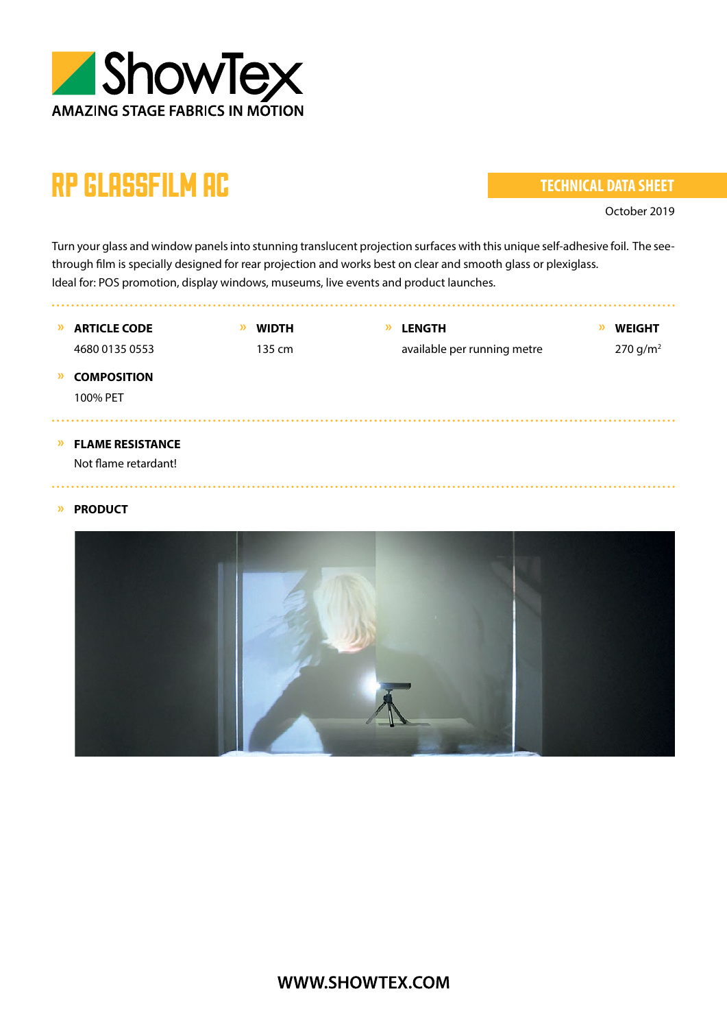

# rp glassfilm ac

#### **TECHNICAL DATA SHEET**

. . . . . . . . . . . . . . .

October 2019

Turn your glass and window panels into stunning translucent projection surfaces with this unique self-adhesive foil. The seethrough film is specially designed for rear projection and works best on clear and smooth glass or plexiglass. Ideal for: POS promotion, display windows, museums, live events and product launches.

**» ARTICLE CODE » WIDTH » LENGTH » WEIGHT** 4680 0135 0553 135 cm available per running metre 270 g/m<sup>2</sup> **» COMPOSITION** 100% PET **» FLAME RESISTANCE** Not flame retardant! 

#### **» PRODUCT**

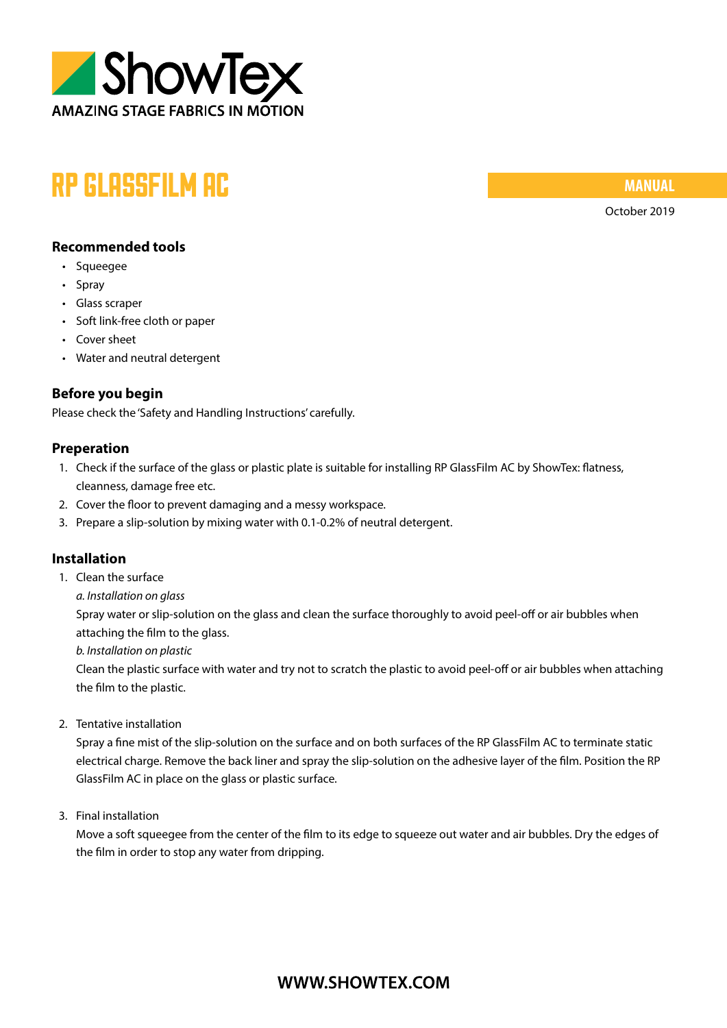

## rp glassfilm ac

**MANUAL**

October 2019

#### **Recommended tools**

- Squeegee
- Spray
- Glass scraper
- Soft link-free cloth or paper
- Cover sheet
- Water and neutral detergent

#### **Before you begin**

Please check the 'Safety and Handling Instructions' carefully.

#### **Preperation**

- 1. Check if the surface of the glass or plastic plate is suitable for installing RP GlassFilm AC by ShowTex: flatness, cleanness, damage free etc.
- 2. Cover the floor to prevent damaging and a messy workspace.
- 3. Prepare a slip-solution by mixing water with 0.1-0.2% of neutral detergent.

#### **Installation**

- 1. Clean the surface
	- *a. Installation on glass*

Spray water or slip-solution on the glass and clean the surface thoroughly to avoid peel-off or air bubbles when attaching the film to the glass.

*b. Installation on plastic*

Clean the plastic surface with water and try not to scratch the plastic to avoid peel-off or air bubbles when attaching the film to the plastic.

2. Tentative installation

Spray a fine mist of the slip-solution on the surface and on both surfaces of the RP GlassFilm AC to terminate static electrical charge. Remove the back liner and spray the slip-solution on the adhesive layer of the film. Position the RP GlassFilm AC in place on the glass or plastic surface.

3. Final installation

Move a soft squeegee from the center of the film to its edge to squeeze out water and air bubbles. Dry the edges of the film in order to stop any water from dripping.

### WWW.SHOWTEX.COM